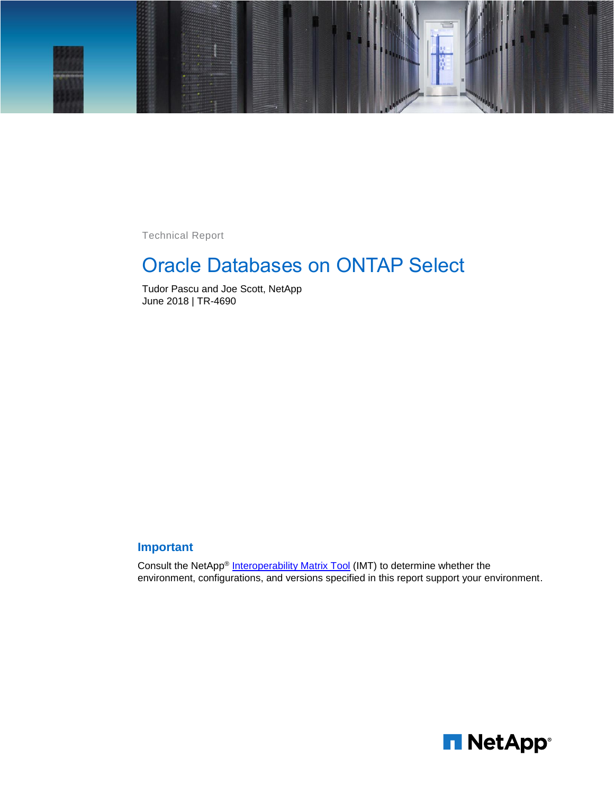

Technical Report

# Oracle Databases on ONTAP Select

Tudor Pascu and Joe Scott, NetApp June 2018 | TR-4690

### **Important**

Consult the NetApp® [Interoperability Matrix Tool](http://mysupport.netapp.com/matrix/#search ) (IMT) to determine whether the environment, configurations, and versions specified in this report support your environment.

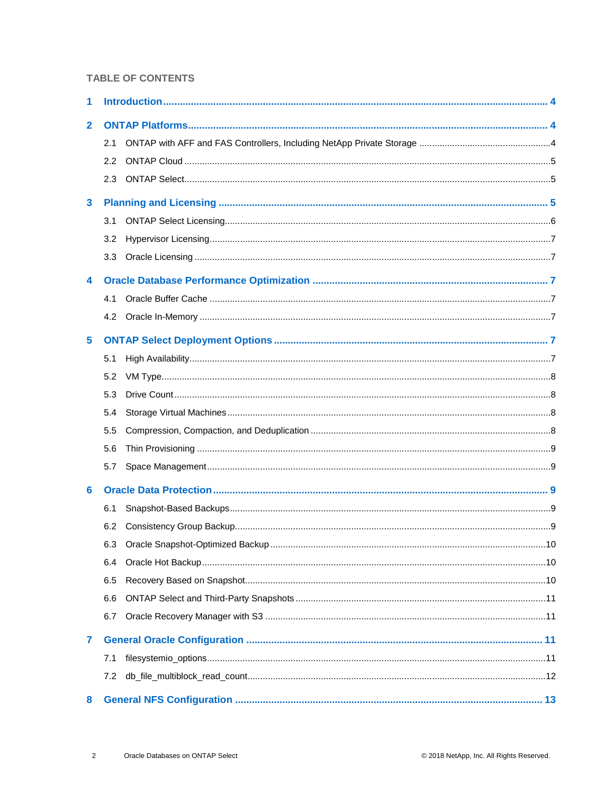#### **TABLE OF CONTENTS**

| 1            |                  |  |
|--------------|------------------|--|
| $\mathbf{2}$ |                  |  |
|              | 2.1              |  |
|              | $2.2^{\circ}$    |  |
|              | 2.3              |  |
| $\mathbf{3}$ |                  |  |
|              | 3.1              |  |
|              | 3.2 <sub>2</sub> |  |
|              | 3.3              |  |
| 4            |                  |  |
|              | 4.1              |  |
|              |                  |  |
| 5            |                  |  |
|              | 5.1              |  |
|              | 5.2              |  |
|              | 5.3              |  |
|              | 5.4              |  |
|              | 5.5              |  |
|              | 5.6              |  |
|              | 5.7              |  |
| 6            |                  |  |
|              | 6.1              |  |
|              | 6.2              |  |
|              |                  |  |
|              | 6.4              |  |
|              | 6.5              |  |
|              | 6.6              |  |
|              | 6.7              |  |
| 7            |                  |  |
|              | 7.1              |  |
|              | 7.2              |  |
| 8            |                  |  |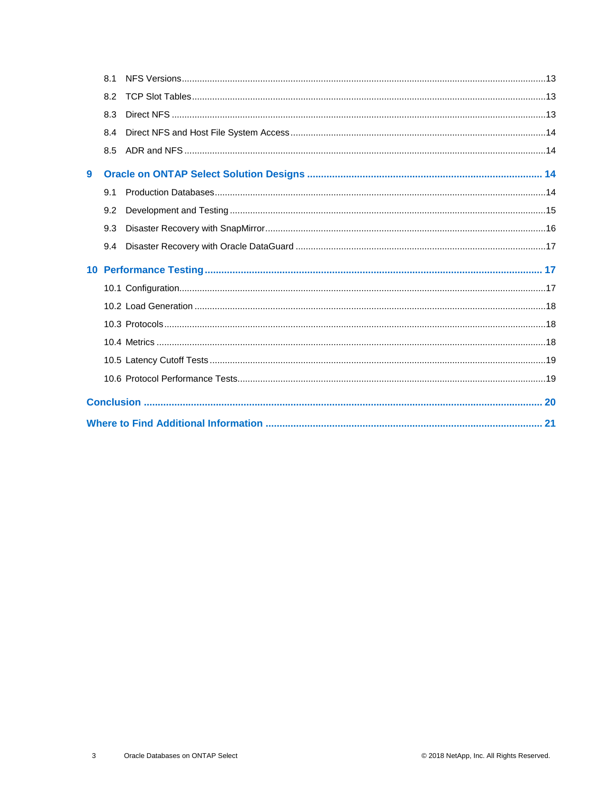|   | 8.1 |  |  |  |  |  |  |
|---|-----|--|--|--|--|--|--|
|   | 8.2 |  |  |  |  |  |  |
|   | 8.3 |  |  |  |  |  |  |
|   | 8.4 |  |  |  |  |  |  |
|   | 8.5 |  |  |  |  |  |  |
| 9 |     |  |  |  |  |  |  |
|   | 9.1 |  |  |  |  |  |  |
|   | 9.2 |  |  |  |  |  |  |
|   | 9.3 |  |  |  |  |  |  |
|   | 9.4 |  |  |  |  |  |  |
|   |     |  |  |  |  |  |  |
|   |     |  |  |  |  |  |  |
|   |     |  |  |  |  |  |  |
|   |     |  |  |  |  |  |  |
|   |     |  |  |  |  |  |  |
|   |     |  |  |  |  |  |  |
|   |     |  |  |  |  |  |  |
|   |     |  |  |  |  |  |  |
|   |     |  |  |  |  |  |  |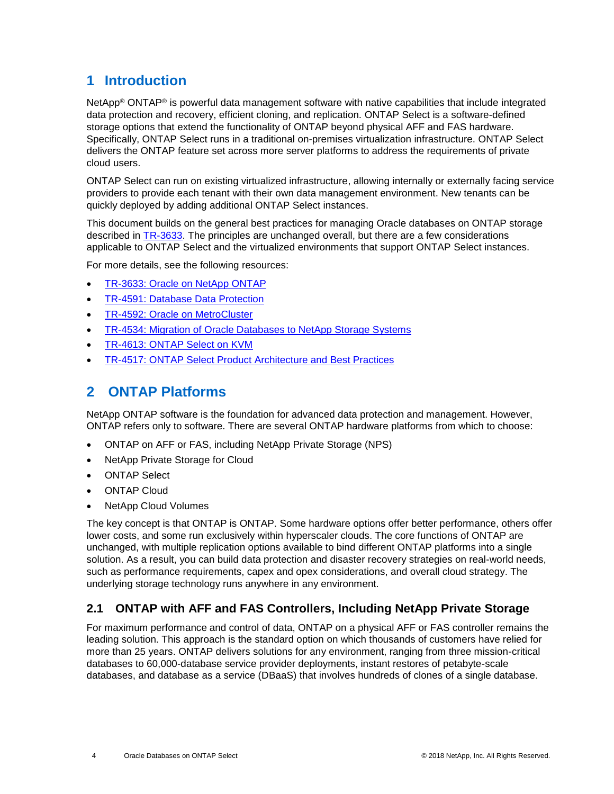# <span id="page-3-0"></span>**1 Introduction**

NetApp® ONTAP® is powerful data management software with native capabilities that include integrated data protection and recovery, efficient cloning, and replication. ONTAP Select is a software-defined storage options that extend the functionality of ONTAP beyond physical AFF and FAS hardware. Specifically, ONTAP Select runs in a traditional on-premises virtualization infrastructure. ONTAP Select delivers the ONTAP feature set across more server platforms to address the requirements of private cloud users.

ONTAP Select can run on existing virtualized infrastructure, allowing internally or externally facing service providers to provide each tenant with their own data management environment. New tenants can be quickly deployed by adding additional ONTAP Select instances.

This document builds on the general best practices for managing Oracle databases on ONTAP storage described in [TR-3633.](http://www.netapp.com/us/media/tr-3633.pdf) The principles are unchanged overall, but there are a few considerations applicable to ONTAP Select and the virtualized environments that support ONTAP Select instances.

For more details, see the following resources:

- [TR-3633: Oracle on NetApp ONTAP](http://www.netapp.com/us/media/tr-3633.pdf)
- TR-4591: [Database Data Protection](http://www.netapp.com/us/media/tr-4591.pdf)
- [TR-4592: Oracle on MetroCluster](http://www.netapp.com/us/media/tr-4592.pdf)
- [TR-4534: Migration of Oracle Databases to NetApp Storage Systems](http://www.netapp.com/us/media/tr-4534.pdf)
- [TR-4613: ONTAP Select on KVM](https://www.netapp.com/us/media/tr-4613.pdf)
- <span id="page-3-1"></span>• [TR-4517: ONTAP Select Product Architecture and Best Practices](https://www.netapp.com/us/media/tr-4517.pdf)

# **2 ONTAP Platforms**

NetApp ONTAP software is the foundation for advanced data protection and management. However, ONTAP refers only to software. There are several ONTAP hardware platforms from which to choose:

- ONTAP on AFF or FAS, including NetApp Private Storage (NPS)
- NetApp Private Storage for Cloud
- **ONTAP Select**
- ONTAP Cloud
- NetApp Cloud Volumes

The key concept is that ONTAP is ONTAP. Some hardware options offer better performance, others offer lower costs, and some run exclusively within hyperscaler clouds. The core functions of ONTAP are unchanged, with multiple replication options available to bind different ONTAP platforms into a single solution. As a result, you can build data protection and disaster recovery strategies on real-world needs, such as performance requirements, capex and opex considerations, and overall cloud strategy. The underlying storage technology runs anywhere in any environment.

### <span id="page-3-2"></span>**2.1 ONTAP with AFF and FAS Controllers, Including NetApp Private Storage**

For maximum performance and control of data, ONTAP on a physical AFF or FAS controller remains the leading solution. This approach is the standard option on which thousands of customers have relied for more than 25 years. ONTAP delivers solutions for any environment, ranging from three mission-critical databases to 60,000-database service provider deployments, instant restores of petabyte-scale databases, and database as a service (DBaaS) that involves hundreds of clones of a single database.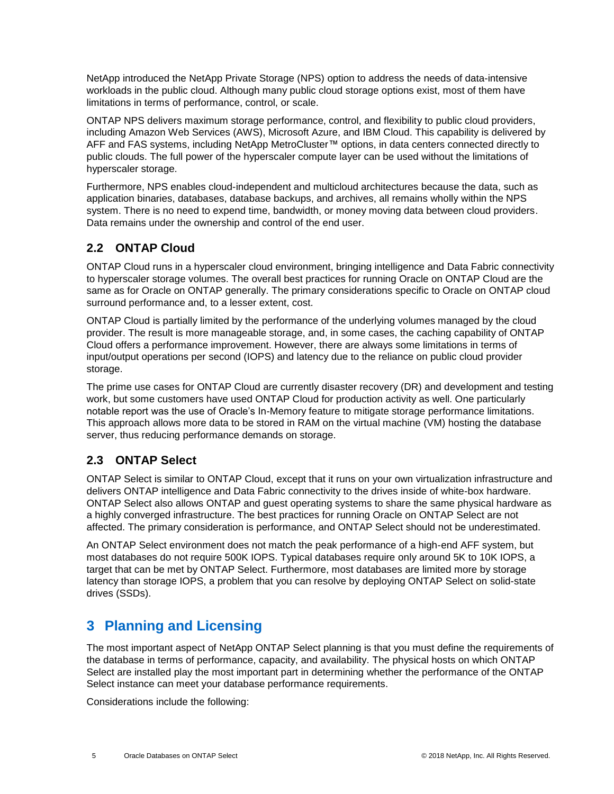NetApp introduced the NetApp Private Storage (NPS) option to address the needs of data-intensive workloads in the public cloud. Although many public cloud storage options exist, most of them have limitations in terms of performance, control, or scale.

ONTAP NPS delivers maximum storage performance, control, and flexibility to public cloud providers, including Amazon Web Services (AWS), Microsoft Azure, and IBM Cloud. This capability is delivered by AFF and FAS systems, including NetApp MetroCluster™ options, in data centers connected directly to public clouds. The full power of the hyperscaler compute layer can be used without the limitations of hyperscaler storage.

Furthermore, NPS enables cloud-independent and multicloud architectures because the data, such as application binaries, databases, database backups, and archives, all remains wholly within the NPS system. There is no need to expend time, bandwidth, or money moving data between cloud providers. Data remains under the ownership and control of the end user.

### <span id="page-4-0"></span>**2.2 ONTAP Cloud**

ONTAP Cloud runs in a hyperscaler cloud environment, bringing intelligence and Data Fabric connectivity to hyperscaler storage volumes. The overall best practices for running Oracle on ONTAP Cloud are the same as for Oracle on ONTAP generally. The primary considerations specific to Oracle on ONTAP cloud surround performance and, to a lesser extent, cost.

ONTAP Cloud is partially limited by the performance of the underlying volumes managed by the cloud provider. The result is more manageable storage, and, in some cases, the caching capability of ONTAP Cloud offers a performance improvement. However, there are always some limitations in terms of input/output operations per second (IOPS) and latency due to the reliance on public cloud provider storage.

The prime use cases for ONTAP Cloud are currently disaster recovery (DR) and development and testing work, but some customers have used ONTAP Cloud for production activity as well. One particularly notable report was the use of Oracle's In-Memory feature to mitigate storage performance limitations. This approach allows more data to be stored in RAM on the virtual machine (VM) hosting the database server, thus reducing performance demands on storage.

### <span id="page-4-1"></span>**2.3 ONTAP Select**

ONTAP Select is similar to ONTAP Cloud, except that it runs on your own virtualization infrastructure and delivers ONTAP intelligence and Data Fabric connectivity to the drives inside of white-box hardware. ONTAP Select also allows ONTAP and guest operating systems to share the same physical hardware as a highly converged infrastructure. The best practices for running Oracle on ONTAP Select are not affected. The primary consideration is performance, and ONTAP Select should not be underestimated.

An ONTAP Select environment does not match the peak performance of a high-end AFF system, but most databases do not require 500K IOPS. Typical databases require only around 5K to 10K IOPS, a target that can be met by ONTAP Select. Furthermore, most databases are limited more by storage latency than storage IOPS, a problem that you can resolve by deploying ONTAP Select on solid-state drives (SSDs).

# <span id="page-4-2"></span>**3 Planning and Licensing**

The most important aspect of NetApp ONTAP Select planning is that you must define the requirements of the database in terms of performance, capacity, and availability. The physical hosts on which ONTAP Select are installed play the most important part in determining whether the performance of the ONTAP Select instance can meet your database performance requirements.

Considerations include the following: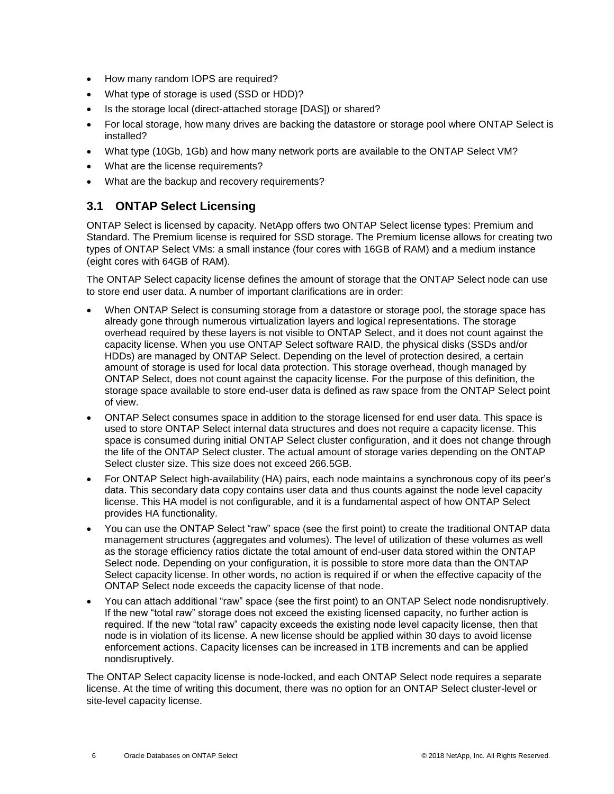- How many random IOPS are required?
- What type of storage is used (SSD or HDD)?
- Is the storage local (direct-attached storage [DAS]) or shared?
- For local storage, how many drives are backing the datastore or storage pool where ONTAP Select is installed?
- What type (10Gb, 1Gb) and how many network ports are available to the ONTAP Select VM?
- What are the license requirements?
- What are the backup and recovery requirements?

### <span id="page-5-0"></span>**3.1 ONTAP Select Licensing**

ONTAP Select is licensed by capacity. NetApp offers two ONTAP Select license types: Premium and Standard. The Premium license is required for SSD storage. The Premium license allows for creating two types of ONTAP Select VMs: a small instance (four cores with 16GB of RAM) and a medium instance (eight cores with 64GB of RAM).

The ONTAP Select capacity license defines the amount of storage that the ONTAP Select node can use to store end user data. A number of important clarifications are in order:

- When ONTAP Select is consuming storage from a datastore or storage pool, the storage space has already gone through numerous virtualization layers and logical representations. The storage overhead required by these layers is not visible to ONTAP Select, and it does not count against the capacity license. When you use ONTAP Select software RAID, the physical disks (SSDs and/or HDDs) are managed by ONTAP Select. Depending on the level of protection desired, a certain amount of storage is used for local data protection. This storage overhead, though managed by ONTAP Select, does not count against the capacity license. For the purpose of this definition, the storage space available to store end-user data is defined as raw space from the ONTAP Select point of view.
- ONTAP Select consumes space in addition to the storage licensed for end user data. This space is used to store ONTAP Select internal data structures and does not require a capacity license. This space is consumed during initial ONTAP Select cluster configuration, and it does not change through the life of the ONTAP Select cluster. The actual amount of storage varies depending on the ONTAP Select cluster size. This size does not exceed 266.5GB.
- For ONTAP Select high-availability (HA) pairs, each node maintains a synchronous copy of its peer's data. This secondary data copy contains user data and thus counts against the node level capacity license. This HA model is not configurable, and it is a fundamental aspect of how ONTAP Select provides HA functionality.
- You can use the ONTAP Select "raw" space (see the first point) to create the traditional ONTAP data management structures (aggregates and volumes). The level of utilization of these volumes as well as the storage efficiency ratios dictate the total amount of end-user data stored within the ONTAP Select node. Depending on your configuration, it is possible to store more data than the ONTAP Select capacity license. In other words, no action is required if or when the effective capacity of the ONTAP Select node exceeds the capacity license of that node.
- You can attach additional "raw" space (see the first point) to an ONTAP Select node nondisruptively. If the new "total raw" storage does not exceed the existing licensed capacity, no further action is required. If the new "total raw" capacity exceeds the existing node level capacity license, then that node is in violation of its license. A new license should be applied within 30 days to avoid license enforcement actions. Capacity licenses can be increased in 1TB increments and can be applied nondisruptively.

The ONTAP Select capacity license is node-locked, and each ONTAP Select node requires a separate license. At the time of writing this document, there was no option for an ONTAP Select cluster-level or site-level capacity license.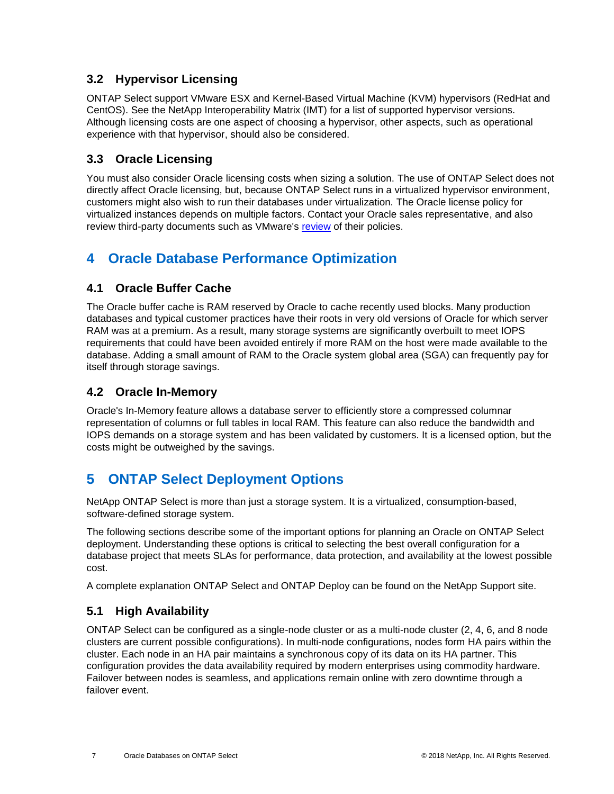### <span id="page-6-0"></span>**3.2 Hypervisor Licensing**

ONTAP Select support VMware ESX and Kernel-Based Virtual Machine (KVM) hypervisors (RedHat and CentOS). See the NetApp Interoperability Matrix (IMT) for a list of supported hypervisor versions. Although licensing costs are one aspect of choosing a hypervisor, other aspects, such as operational experience with that hypervisor, should also be considered.

### <span id="page-6-1"></span>**3.3 Oracle Licensing**

You must also consider Oracle licensing costs when sizing a solution. The use of ONTAP Select does not directly affect Oracle licensing, but, because ONTAP Select runs in a virtualized hypervisor environment, customers might also wish to run their databases under virtualization. The Oracle license policy for virtualized instances depends on multiple factors. Contact your Oracle sales representative, and also review third-party documents such as VMware's [review](https://www.vmware.com/content/dam/digitalmarketing/vmware/en/pdf/whitepaper/solutions/oracle/understanding_oracle_certification_support_licensing_vmware_environments-white-paper.pdf) of their policies.

# <span id="page-6-2"></span>**4 Oracle Database Performance Optimization**

### <span id="page-6-3"></span>**4.1 Oracle Buffer Cache**

The Oracle buffer cache is RAM reserved by Oracle to cache recently used blocks. Many production databases and typical customer practices have their roots in very old versions of Oracle for which server RAM was at a premium. As a result, many storage systems are significantly overbuilt to meet IOPS requirements that could have been avoided entirely if more RAM on the host were made available to the database. Adding a small amount of RAM to the Oracle system global area (SGA) can frequently pay for itself through storage savings.

### <span id="page-6-4"></span>**4.2 Oracle In-Memory**

Oracle's In-Memory feature allows a database server to efficiently store a compressed columnar representation of columns or full tables in local RAM. This feature can also reduce the bandwidth and IOPS demands on a storage system and has been validated by customers. It is a licensed option, but the costs might be outweighed by the savings.

# <span id="page-6-5"></span>**5 ONTAP Select Deployment Options**

NetApp ONTAP Select is more than just a storage system. It is a virtualized, consumption-based, software-defined storage system.

The following sections describe some of the important options for planning an Oracle on ONTAP Select deployment. Understanding these options is critical to selecting the best overall configuration for a database project that meets SLAs for performance, data protection, and availability at the lowest possible cost.

A complete explanation ONTAP Select and ONTAP Deploy can be found on the NetApp Support site.

### <span id="page-6-6"></span>**5.1 High Availability**

ONTAP Select can be configured as a single-node cluster or as a multi-node cluster (2, 4, 6, and 8 node clusters are current possible configurations). In multi-node configurations, nodes form HA pairs within the cluster. Each node in an HA pair maintains a synchronous copy of its data on its HA partner. This configuration provides the data availability required by modern enterprises using commodity hardware. Failover between nodes is seamless, and applications remain online with zero downtime through a failover event.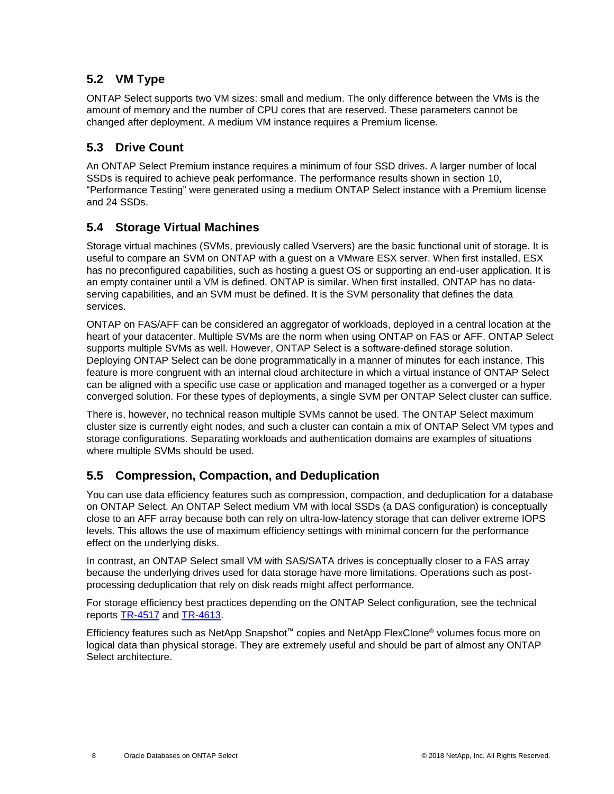### <span id="page-7-0"></span>**5.2 VM Type**

ONTAP Select supports two VM sizes: small and medium. The only difference between the VMs is the amount of memory and the number of CPU cores that are reserved. These parameters cannot be changed after deployment. A medium VM instance requires a Premium license.

### <span id="page-7-1"></span>**5.3 Drive Count**

An ONTAP Select Premium instance requires a minimum of four SSD drives. A larger number of local SSDs is required to achieve peak performance. The performance results shown in section 10, ["Performance Testing"](#page-16-1) were generated using a medium ONTAP Select instance with a Premium license and 24 SSDs.

### <span id="page-7-2"></span>**5.4 Storage Virtual Machines**

Storage virtual machines (SVMs, previously called Vservers) are the basic functional unit of storage. It is useful to compare an SVM on ONTAP with a guest on a VMware ESX server. When first installed, ESX has no preconfigured capabilities, such as hosting a guest OS or supporting an end-user application. It is an empty container until a VM is defined. ONTAP is similar. When first installed, ONTAP has no dataserving capabilities, and an SVM must be defined. It is the SVM personality that defines the data services.

ONTAP on FAS/AFF can be considered an aggregator of workloads, deployed in a central location at the heart of your datacenter. Multiple SVMs are the norm when using ONTAP on FAS or AFF. ONTAP Select supports multiple SVMs as well. However, ONTAP Select is a software-defined storage solution. Deploying ONTAP Select can be done programmatically in a manner of minutes for each instance. This feature is more congruent with an internal cloud architecture in which a virtual instance of ONTAP Select can be aligned with a specific use case or application and managed together as a converged or a hyper converged solution. For these types of deployments, a single SVM per ONTAP Select cluster can suffice.

There is, however, no technical reason multiple SVMs cannot be used. The ONTAP Select maximum cluster size is currently eight nodes, and such a cluster can contain a mix of ONTAP Select VM types and storage configurations. Separating workloads and authentication domains are examples of situations where multiple SVMs should be used.

### <span id="page-7-3"></span>**5.5 Compression, Compaction, and Deduplication**

You can use data efficiency features such as compression, compaction, and deduplication for a database on ONTAP Select. An ONTAP Select medium VM with local SSDs (a DAS configuration) is conceptually close to an AFF array because both can rely on ultra-low-latency storage that can deliver extreme IOPS levels. This allows the use of maximum efficiency settings with minimal concern for the performance effect on the underlying disks.

In contrast, an ONTAP Select small VM with SAS/SATA drives is conceptually closer to a FAS array because the underlying drives used for data storage have more limitations. Operations such as postprocessing deduplication that rely on disk reads might affect performance.

For storage efficiency best practices depending on the ONTAP Select configuration, see the technical reports [TR-4517](https://www.netapp.com/us/media/tr-4517.pdf) and [TR-4613.](https://www.netapp.com/us/media/tr-4613.pdf)

Efficiency features such as NetApp Snapshot™ copies and NetApp FlexClone® volumes focus more on logical data than physical storage. They are extremely useful and should be part of almost any ONTAP Select architecture.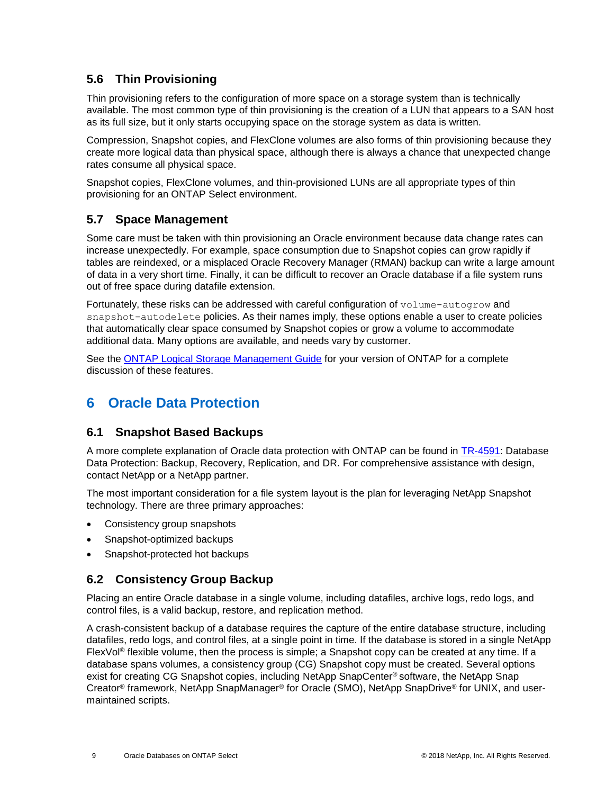### <span id="page-8-0"></span>**5.6 Thin Provisioning**

Thin provisioning refers to the configuration of more space on a storage system than is technically available. The most common type of thin provisioning is the creation of a LUN that appears to a SAN host as its full size, but it only starts occupying space on the storage system as data is written.

Compression, Snapshot copies, and FlexClone volumes are also forms of thin provisioning because they create more logical data than physical space, although there is always a chance that unexpected change rates consume all physical space.

Snapshot copies, FlexClone volumes, and thin-provisioned LUNs are all appropriate types of thin provisioning for an ONTAP Select environment.

### <span id="page-8-1"></span>**5.7 Space Management**

Some care must be taken with thin provisioning an Oracle environment because data change rates can increase unexpectedly. For example, space consumption due to Snapshot copies can grow rapidly if tables are reindexed, or a misplaced Oracle Recovery Manager (RMAN) backup can write a large amount of data in a very short time. Finally, it can be difficult to recover an Oracle database if a file system runs out of free space during datafile extension.

Fortunately, these risks can be addressed with careful configuration of volume-autogrow and snapshot-autodelete policies. As their names imply, these options enable a user to create policies that automatically clear space consumed by Snapshot copies or grow a volume to accommodate additional data. Many options are available, and needs vary by customer.

See the **ONTAP Logical Storage Management Guide** for your version of ONTAP for a complete discussion of these features.

# <span id="page-8-2"></span>**6 Oracle Data Protection**

### <span id="page-8-3"></span>**6.1 Snapshot Based Backups**

A more complete explanation of Oracle data protection with ONTAP can be found in [TR-4591:](https://www.netapp.com/us/media/tr-4591.pdf) Database Data Protection: Backup, Recovery, Replication, and DR. For comprehensive assistance with design, contact NetApp or a NetApp partner.

The most important consideration for a file system layout is the plan for leveraging NetApp Snapshot technology. There are three primary approaches:

- Consistency group snapshots
- Snapshot-optimized backups
- Snapshot-protected hot backups

### <span id="page-8-4"></span>**6.2 Consistency Group Backup**

Placing an entire Oracle database in a single volume, including datafiles, archive logs, redo logs, and control files, is a valid backup, restore, and replication method.

A crash-consistent backup of a database requires the capture of the entire database structure, including datafiles, redo logs, and control files, at a single point in time. If the database is stored in a single NetApp FlexVol® flexible volume, then the process is simple; a Snapshot copy can be created at any time. If a database spans volumes, a consistency group (CG) Snapshot copy must be created. Several options exist for creating CG Snapshot copies, including NetApp SnapCenter® software, the NetApp Snap Creator® framework, NetApp SnapManager® for Oracle (SMO), NetApp SnapDrive® for UNIX, and usermaintained scripts.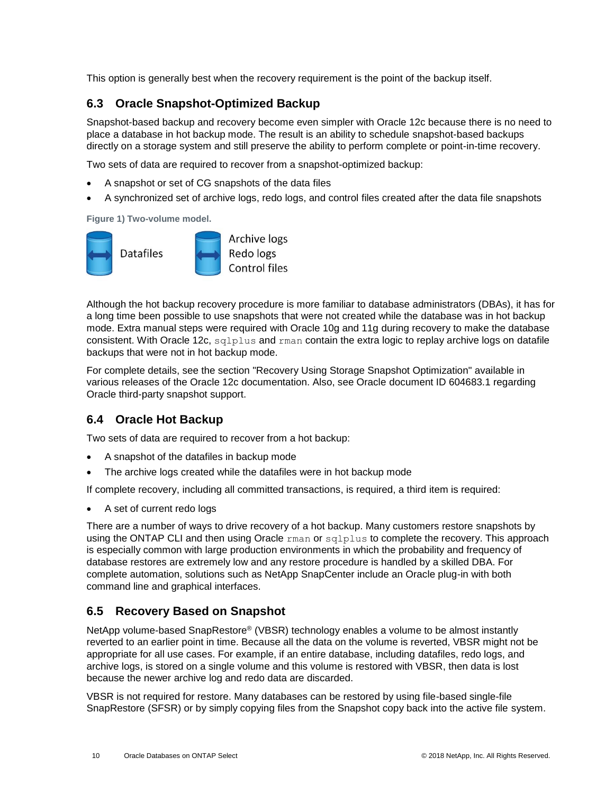This option is generally best when the recovery requirement is the point of the backup itself.

### <span id="page-9-0"></span>**6.3 Oracle Snapshot-Optimized Backup**

Snapshot-based backup and recovery become even simpler with Oracle 12c because there is no need to place a database in hot backup mode. The result is an ability to schedule snapshot-based backups directly on a storage system and still preserve the ability to perform complete or point-in-time recovery.

Two sets of data are required to recover from a snapshot-optimized backup:

- A snapshot or set of CG snapshots of the data files
- A synchronized set of archive logs, redo logs, and control files created after the data file snapshots

**Figure 1) Two-volume model.**



Although the hot backup recovery procedure is more familiar to database administrators (DBAs), it has for a long time been possible to use snapshots that were not created while the database was in hot backup mode. Extra manual steps were required with Oracle 10g and 11g during recovery to make the database consistent. With Oracle 12c, sqlplus and rman contain the extra logic to replay archive logs on datafile backups that were not in hot backup mode.

For complete details, see the section "Recovery Using Storage Snapshot Optimization" available in various releases of the Oracle 12c documentation. Also, see Oracle document ID 604683.1 regarding Oracle third-party snapshot support.

### <span id="page-9-1"></span>**6.4 Oracle Hot Backup**

Two sets of data are required to recover from a hot backup:

- A snapshot of the datafiles in backup mode
- The archive logs created while the datafiles were in hot backup mode

If complete recovery, including all committed transactions, is required, a third item is required:

• A set of current redo logs

There are a number of ways to drive recovery of a hot backup. Many customers restore snapshots by using the ONTAP CLI and then using Oracle rman or sqlplus to complete the recovery. This approach is especially common with large production environments in which the probability and frequency of database restores are extremely low and any restore procedure is handled by a skilled DBA. For complete automation, solutions such as NetApp SnapCenter include an Oracle plug-in with both command line and graphical interfaces.

### <span id="page-9-2"></span>**6.5 Recovery Based on Snapshot**

NetApp volume-based SnapRestore® (VBSR) technology enables a volume to be almost instantly reverted to an earlier point in time. Because all the data on the volume is reverted, VBSR might not be appropriate for all use cases. For example, if an entire database, including datafiles, redo logs, and archive logs, is stored on a single volume and this volume is restored with VBSR, then data is lost because the newer archive log and redo data are discarded.

VBSR is not required for restore. Many databases can be restored by using file-based single-file SnapRestore (SFSR) or by simply copying files from the Snapshot copy back into the active file system.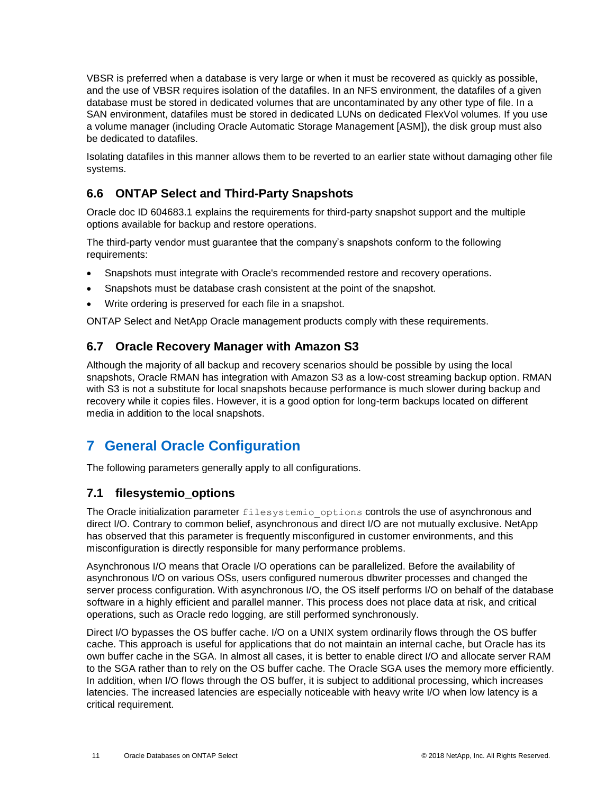VBSR is preferred when a database is very large or when it must be recovered as quickly as possible, and the use of VBSR requires isolation of the datafiles. In an NFS environment, the datafiles of a given database must be stored in dedicated volumes that are uncontaminated by any other type of file. In a SAN environment, datafiles must be stored in dedicated LUNs on dedicated FlexVol volumes. If you use a volume manager (including Oracle Automatic Storage Management [ASM]), the disk group must also be dedicated to datafiles.

Isolating datafiles in this manner allows them to be reverted to an earlier state without damaging other file systems.

### <span id="page-10-0"></span>**6.6 ONTAP Select and Third-Party Snapshots**

Oracle doc ID 604683.1 explains the requirements for third-party snapshot support and the multiple options available for backup and restore operations.

The third-party vendor must guarantee that the company's snapshots conform to the following requirements:

- Snapshots must integrate with Oracle's recommended restore and recovery operations.
- Snapshots must be database crash consistent at the point of the snapshot.
- Write ordering is preserved for each file in a snapshot.

ONTAP Select and NetApp Oracle management products comply with these requirements.

### <span id="page-10-1"></span>**6.7 Oracle Recovery Manager with Amazon S3**

Although the majority of all backup and recovery scenarios should be possible by using the local snapshots, Oracle RMAN has integration with Amazon S3 as a low-cost streaming backup option. RMAN with S3 is not a substitute for local snapshots because performance is much slower during backup and recovery while it copies files. However, it is a good option for long-term backups located on different media in addition to the local snapshots.

# <span id="page-10-2"></span>**7 General Oracle Configuration**

The following parameters generally apply to all configurations.

#### <span id="page-10-3"></span>**7.1 filesystemio\_options**

The Oracle initialization parameter filesystemio options controls the use of asynchronous and direct I/O. Contrary to common belief, asynchronous and direct I/O are not mutually exclusive. NetApp has observed that this parameter is frequently misconfigured in customer environments, and this misconfiguration is directly responsible for many performance problems.

Asynchronous I/O means that Oracle I/O operations can be parallelized. Before the availability of asynchronous I/O on various OSs, users configured numerous dbwriter processes and changed the server process configuration. With asynchronous I/O, the OS itself performs I/O on behalf of the database software in a highly efficient and parallel manner. This process does not place data at risk, and critical operations, such as Oracle redo logging, are still performed synchronously.

Direct I/O bypasses the OS buffer cache. I/O on a UNIX system ordinarily flows through the OS buffer cache. This approach is useful for applications that do not maintain an internal cache, but Oracle has its own buffer cache in the SGA. In almost all cases, it is better to enable direct I/O and allocate server RAM to the SGA rather than to rely on the OS buffer cache. The Oracle SGA uses the memory more efficiently. In addition, when I/O flows through the OS buffer, it is subject to additional processing, which increases latencies. The increased latencies are especially noticeable with heavy write I/O when low latency is a critical requirement.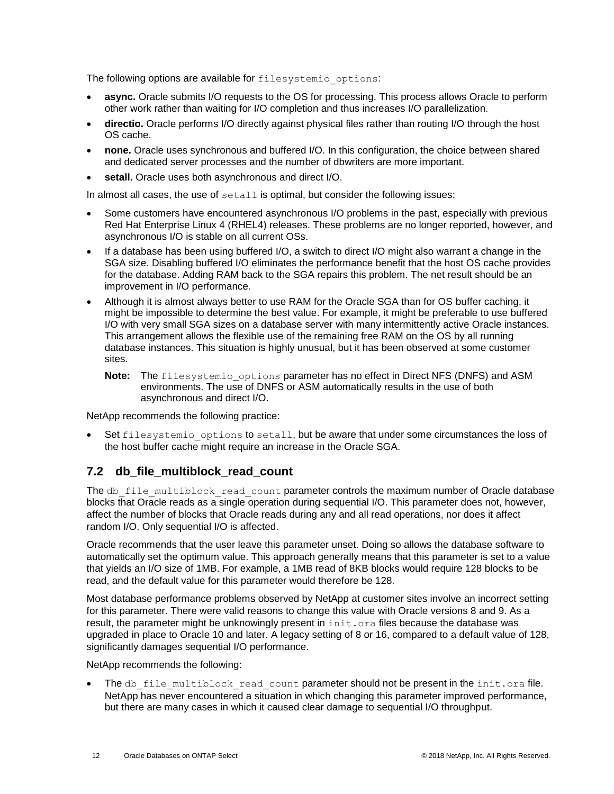The following options are available for filesystemio options:

- **async.** Oracle submits I/O requests to the OS for processing. This process allows Oracle to perform other work rather than waiting for I/O completion and thus increases I/O parallelization.
- **directio.** Oracle performs I/O directly against physical files rather than routing I/O through the host OS cache.
- **none.** Oracle uses synchronous and buffered I/O. In this configuration, the choice between shared and dedicated server processes and the number of dbwriters are more important.
- setall. Oracle uses both asynchronous and direct I/O.

In almost all cases, the use of  $\text{setall}$  is optimal, but consider the following issues:

- Some customers have encountered asynchronous I/O problems in the past, especially with previous Red Hat Enterprise Linux 4 (RHEL4) releases. These problems are no longer reported, however, and asynchronous I/O is stable on all current OSs.
- If a database has been using buffered I/O, a switch to direct I/O might also warrant a change in the SGA size. Disabling buffered I/O eliminates the performance benefit that the host OS cache provides for the database. Adding RAM back to the SGA repairs this problem. The net result should be an improvement in I/O performance.
- Although it is almost always better to use RAM for the Oracle SGA than for OS buffer caching, it might be impossible to determine the best value. For example, it might be preferable to use buffered I/O with very small SGA sizes on a database server with many intermittently active Oracle instances. This arrangement allows the flexible use of the remaining free RAM on the OS by all running database instances. This situation is highly unusual, but it has been observed at some customer sites.
	- **Note:** The filesystemio\_options parameter has no effect in Direct NFS (DNFS) and ASM environments. The use of DNFS or ASM automatically results in the use of both asynchronous and direct I/O.

NetApp recommends the following practice:

Set filesystemio options to setall, but be aware that under some circumstances the loss of the host buffer cache might require an increase in the Oracle SGA.

### <span id="page-11-0"></span>**7.2 db\_file\_multiblock\_read\_count**

The db\_file\_multiblock\_read\_count parameter controls the maximum number of Oracle database blocks that Oracle reads as a single operation during sequential I/O. This parameter does not, however, affect the number of blocks that Oracle reads during any and all read operations, nor does it affect random I/O. Only sequential I/O is affected.

Oracle recommends that the user leave this parameter unset. Doing so allows the database software to automatically set the optimum value. This approach generally means that this parameter is set to a value that yields an I/O size of 1MB. For example, a 1MB read of 8KB blocks would require 128 blocks to be read, and the default value for this parameter would therefore be 128.

Most database performance problems observed by NetApp at customer sites involve an incorrect setting for this parameter. There were valid reasons to change this value with Oracle versions 8 and 9. As a result, the parameter might be unknowingly present in init.ora files because the database was upgraded in place to Oracle 10 and later. A legacy setting of 8 or 16, compared to a default value of 128, significantly damages sequential I/O performance.

NetApp recommends the following:

The db file multiblock read count parameter should not be present in the init.ora file. NetApp has never encountered a situation in which changing this parameter improved performance, but there are many cases in which it caused clear damage to sequential I/O throughput.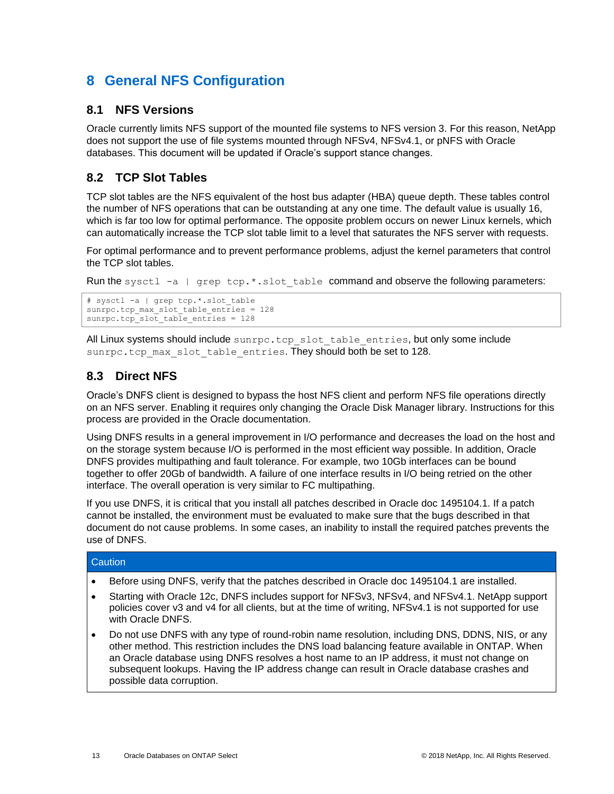# <span id="page-12-0"></span>**8 General NFS Configuration**

### <span id="page-12-1"></span>**8.1 NFS Versions**

Oracle currently limits NFS support of the mounted file systems to NFS version 3. For this reason, NetApp does not support the use of file systems mounted through NFSv4, NFSv4.1, or pNFS with Oracle databases. This document will be updated if Oracle's support stance changes.

### <span id="page-12-2"></span>**8.2 TCP Slot Tables**

TCP slot tables are the NFS equivalent of the host bus adapter (HBA) queue depth. These tables control the number of NFS operations that can be outstanding at any one time. The default value is usually 16, which is far too low for optimal performance. The opposite problem occurs on newer Linux kernels, which can automatically increase the TCP slot table limit to a level that saturates the NFS server with requests.

For optimal performance and to prevent performance problems, adjust the kernel parameters that control the TCP slot tables.

Run the sysctl -a | grep tcp.\*.slot table command and observe the following parameters:

```
# sysctl -a | grep tcp.*.slot_table
sunrpc.tcp_max_slot_table_entries = 128sunrpc.tcp slot table entries = 128
```
All Linux systems should include sunrpc.tcp\_slot\_table\_entries, but only some include sunrpc.tcp\_max\_slot\_table\_entries. They should both be set to 128.

### <span id="page-12-3"></span>**8.3 Direct NFS**

Oracle's DNFS client is designed to bypass the host NFS client and perform NFS file operations directly on an NFS server. Enabling it requires only changing the Oracle Disk Manager library. Instructions for this process are provided in the Oracle documentation.

Using DNFS results in a general improvement in I/O performance and decreases the load on the host and on the storage system because I/O is performed in the most efficient way possible. In addition, Oracle DNFS provides multipathing and fault tolerance. For example, two 10Gb interfaces can be bound together to offer 20Gb of bandwidth. A failure of one interface results in I/O being retried on the other interface. The overall operation is very similar to FC multipathing.

If you use DNFS, it is critical that you install all patches described in Oracle doc 1495104.1. If a patch cannot be installed, the environment must be evaluated to make sure that the bugs described in that document do not cause problems. In some cases, an inability to install the required patches prevents the use of DNFS.

#### **Caution**

- Before using DNFS, verify that the patches described in Oracle doc 1495104.1 are installed.
- Starting with Oracle 12c, DNFS includes support for NFSv3, NFSv4, and NFSv4.1. NetApp support policies cover v3 and v4 for all clients, but at the time of writing, NFSv4.1 is not supported for use with Oracle DNFS.
- Do not use DNFS with any type of round-robin name resolution, including DNS, DDNS, NIS, or any other method. This restriction includes the DNS load balancing feature available in ONTAP. When an Oracle database using DNFS resolves a host name to an IP address, it must not change on subsequent lookups. Having the IP address change can result in Oracle database crashes and possible data corruption.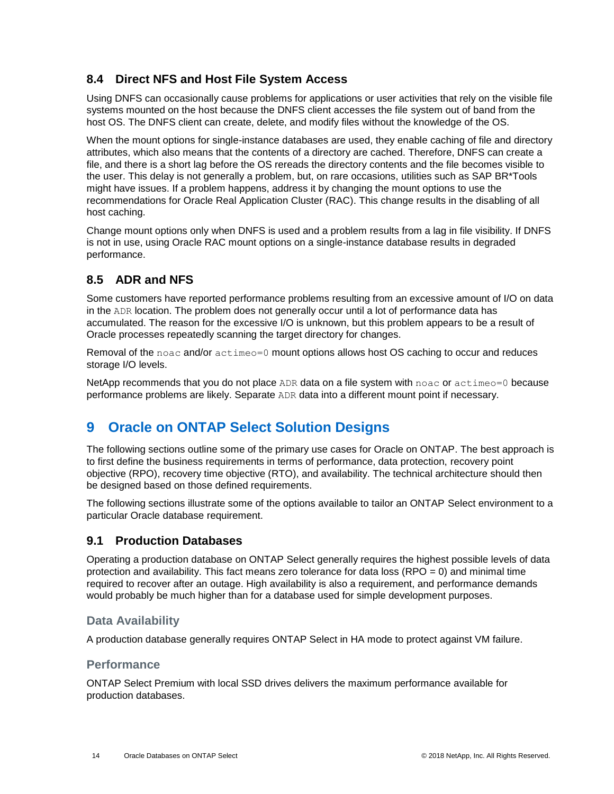### <span id="page-13-0"></span>**8.4 Direct NFS and Host File System Access**

Using DNFS can occasionally cause problems for applications or user activities that rely on the visible file systems mounted on the host because the DNFS client accesses the file system out of band from the host OS. The DNFS client can create, delete, and modify files without the knowledge of the OS.

When the mount options for single-instance databases are used, they enable caching of file and directory attributes, which also means that the contents of a directory are cached. Therefore, DNFS can create a file, and there is a short lag before the OS rereads the directory contents and the file becomes visible to the user. This delay is not generally a problem, but, on rare occasions, utilities such as SAP BR\*Tools might have issues. If a problem happens, address it by changing the mount options to use the recommendations for Oracle Real Application Cluster (RAC). This change results in the disabling of all host caching.

Change mount options only when DNFS is used and a problem results from a lag in file visibility. If DNFS is not in use, using Oracle RAC mount options on a single-instance database results in degraded performance.

### <span id="page-13-1"></span>**8.5 ADR and NFS**

Some customers have reported performance problems resulting from an excessive amount of I/O on data in the ADR location. The problem does not generally occur until a lot of performance data has accumulated. The reason for the excessive I/O is unknown, but this problem appears to be a result of Oracle processes repeatedly scanning the target directory for changes.

Removal of the noac and/or actimeo=0 mount options allows host OS caching to occur and reduces storage I/O levels.

NetApp recommends that you do not place ADR data on a file system with noac or actimeo=0 because performance problems are likely. Separate ADR data into a different mount point if necessary.

# <span id="page-13-2"></span>**9 Oracle on ONTAP Select Solution Designs**

The following sections outline some of the primary use cases for Oracle on ONTAP. The best approach is to first define the business requirements in terms of performance, data protection, recovery point objective (RPO), recovery time objective (RTO), and availability. The technical architecture should then be designed based on those defined requirements.

The following sections illustrate some of the options available to tailor an ONTAP Select environment to a particular Oracle database requirement.

### <span id="page-13-3"></span>**9.1 Production Databases**

Operating a production database on ONTAP Select generally requires the highest possible levels of data protection and availability. This fact means zero tolerance for data loss (RPO = 0) and minimal time required to recover after an outage. High availability is also a requirement, and performance demands would probably be much higher than for a database used for simple development purposes.

#### **Data Availability**

A production database generally requires ONTAP Select in HA mode to protect against VM failure.

#### **Performance**

ONTAP Select Premium with local SSD drives delivers the maximum performance available for production databases.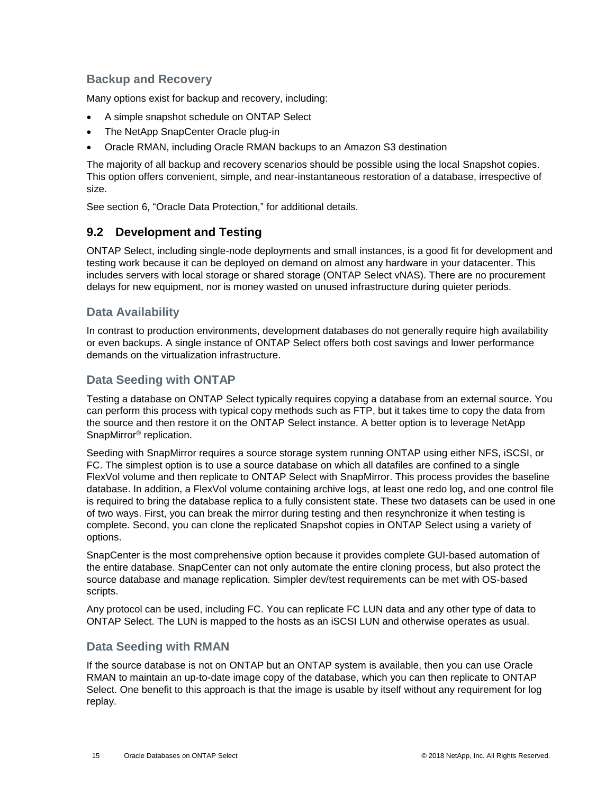### **Backup and Recovery**

Many options exist for backup and recovery, including:

- A simple snapshot schedule on ONTAP Select
- The NetApp SnapCenter Oracle plug-in
- Oracle RMAN, including Oracle RMAN backups to an Amazon S3 destination

The majority of all backup and recovery scenarios should be possible using the local Snapshot copies. This option offers convenient, simple, and near-instantaneous restoration of a database, irrespective of size.

See section [6,](#page-8-2) ["Oracle Data Protection,](#page-8-2)" for additional details.

### <span id="page-14-0"></span>**9.2 Development and Testing**

ONTAP Select, including single-node deployments and small instances, is a good fit for development and testing work because it can be deployed on demand on almost any hardware in your datacenter. This includes servers with local storage or shared storage (ONTAP Select vNAS). There are no procurement delays for new equipment, nor is money wasted on unused infrastructure during quieter periods.

#### **Data Availability**

In contrast to production environments, development databases do not generally require high availability or even backups. A single instance of ONTAP Select offers both cost savings and lower performance demands on the virtualization infrastructure.

#### **Data Seeding with ONTAP**

Testing a database on ONTAP Select typically requires copying a database from an external source. You can perform this process with typical copy methods such as FTP, but it takes time to copy the data from the source and then restore it on the ONTAP Select instance. A better option is to leverage NetApp SnapMirror® replication.

Seeding with SnapMirror requires a source storage system running ONTAP using either NFS, iSCSI, or FC. The simplest option is to use a source database on which all datafiles are confined to a single FlexVol volume and then replicate to ONTAP Select with SnapMirror. This process provides the baseline database. In addition, a FlexVol volume containing archive logs, at least one redo log, and one control file is required to bring the database replica to a fully consistent state. These two datasets can be used in one of two ways. First, you can break the mirror during testing and then resynchronize it when testing is complete. Second, you can clone the replicated Snapshot copies in ONTAP Select using a variety of options.

SnapCenter is the most comprehensive option because it provides complete GUI-based automation of the entire database. SnapCenter can not only automate the entire cloning process, but also protect the source database and manage replication. Simpler dev/test requirements can be met with OS-based scripts.

Any protocol can be used, including FC. You can replicate FC LUN data and any other type of data to ONTAP Select. The LUN is mapped to the hosts as an iSCSI LUN and otherwise operates as usual.

#### **Data Seeding with RMAN**

If the source database is not on ONTAP but an ONTAP system is available, then you can use Oracle RMAN to maintain an up-to-date image copy of the database, which you can then replicate to ONTAP Select. One benefit to this approach is that the image is usable by itself without any requirement for log replay.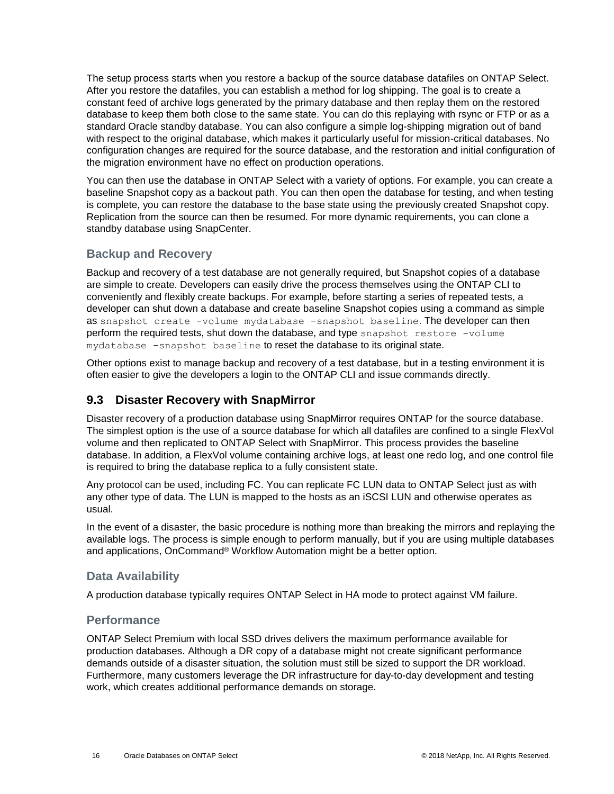The setup process starts when you restore a backup of the source database datafiles on ONTAP Select. After you restore the datafiles, you can establish a method for log shipping. The goal is to create a constant feed of archive logs generated by the primary database and then replay them on the restored database to keep them both close to the same state. You can do this replaying with rsync or FTP or as a standard Oracle standby database. You can also configure a simple log-shipping migration out of band with respect to the original database, which makes it particularly useful for mission-critical databases. No configuration changes are required for the source database, and the restoration and initial configuration of the migration environment have no effect on production operations.

You can then use the database in ONTAP Select with a variety of options. For example, you can create a baseline Snapshot copy as a backout path. You can then open the database for testing, and when testing is complete, you can restore the database to the base state using the previously created Snapshot copy. Replication from the source can then be resumed. For more dynamic requirements, you can clone a standby database using SnapCenter.

#### **Backup and Recovery**

Backup and recovery of a test database are not generally required, but Snapshot copies of a database are simple to create. Developers can easily drive the process themselves using the ONTAP CLI to conveniently and flexibly create backups. For example, before starting a series of repeated tests, a developer can shut down a database and create baseline Snapshot copies using a command as simple as snapshot create -volume mydatabase -snapshot baseline. The developer can then perform the required tests, shut down the database, and type snapshot restore -volume mydatabase -snapshot baseline to reset the database to its original state.

Other options exist to manage backup and recovery of a test database, but in a testing environment it is often easier to give the developers a login to the ONTAP CLI and issue commands directly.

### <span id="page-15-0"></span>**9.3 Disaster Recovery with SnapMirror**

Disaster recovery of a production database using SnapMirror requires ONTAP for the source database. The simplest option is the use of a source database for which all datafiles are confined to a single FlexVol volume and then replicated to ONTAP Select with SnapMirror. This process provides the baseline database. In addition, a FlexVol volume containing archive logs, at least one redo log, and one control file is required to bring the database replica to a fully consistent state.

Any protocol can be used, including FC. You can replicate FC LUN data to ONTAP Select just as with any other type of data. The LUN is mapped to the hosts as an iSCSI LUN and otherwise operates as usual.

In the event of a disaster, the basic procedure is nothing more than breaking the mirrors and replaying the available logs. The process is simple enough to perform manually, but if you are using multiple databases and applications, OnCommand® Workflow Automation might be a better option.

#### **Data Availability**

A production database typically requires ONTAP Select in HA mode to protect against VM failure.

#### **Performance**

ONTAP Select Premium with local SSD drives delivers the maximum performance available for production databases. Although a DR copy of a database might not create significant performance demands outside of a disaster situation, the solution must still be sized to support the DR workload. Furthermore, many customers leverage the DR infrastructure for day-to-day development and testing work, which creates additional performance demands on storage.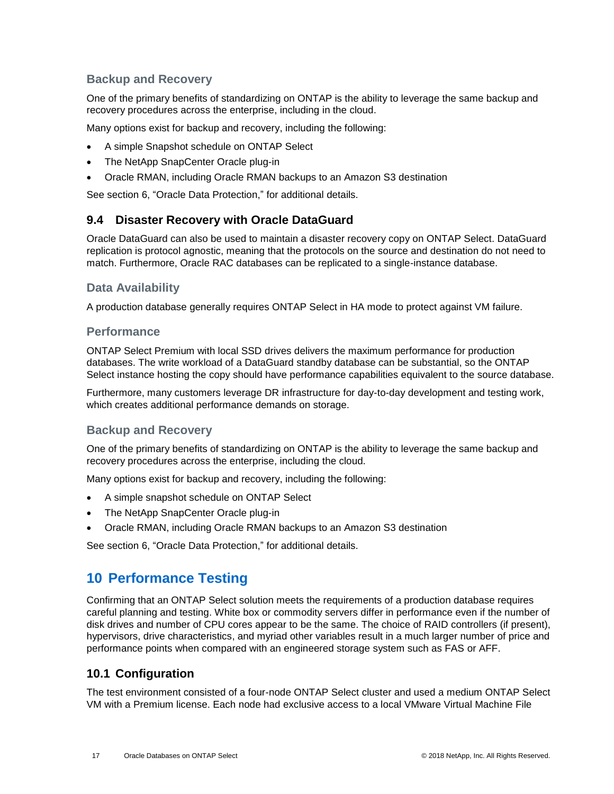### **Backup and Recovery**

One of the primary benefits of standardizing on ONTAP is the ability to leverage the same backup and recovery procedures across the enterprise, including in the cloud.

Many options exist for backup and recovery, including the following:

- A simple Snapshot schedule on ONTAP Select
- The NetApp SnapCenter Oracle plug-in
- Oracle RMAN, including Oracle RMAN backups to an Amazon S3 destination

See section [6,](#page-8-2) ["Oracle Data Protection,](#page-8-2)" for additional details.

#### <span id="page-16-0"></span>**9.4 Disaster Recovery with Oracle DataGuard**

Oracle DataGuard can also be used to maintain a disaster recovery copy on ONTAP Select. DataGuard replication is protocol agnostic, meaning that the protocols on the source and destination do not need to match. Furthermore, Oracle RAC databases can be replicated to a single-instance database.

#### **Data Availability**

A production database generally requires ONTAP Select in HA mode to protect against VM failure.

#### **Performance**

ONTAP Select Premium with local SSD drives delivers the maximum performance for production databases. The write workload of a DataGuard standby database can be substantial, so the ONTAP Select instance hosting the copy should have performance capabilities equivalent to the source database.

Furthermore, many customers leverage DR infrastructure for day-to-day development and testing work, which creates additional performance demands on storage.

#### **Backup and Recovery**

One of the primary benefits of standardizing on ONTAP is the ability to leverage the same backup and recovery procedures across the enterprise, including the cloud.

Many options exist for backup and recovery, including the following:

- A simple snapshot schedule on ONTAP Select
- The NetApp SnapCenter Oracle plug-in
- Oracle RMAN, including Oracle RMAN backups to an Amazon S3 destination

See section [6,](#page-8-2) ["Oracle Data Protection,](#page-8-2)" for additional details.

### <span id="page-16-1"></span>**10 Performance Testing**

Confirming that an ONTAP Select solution meets the requirements of a production database requires careful planning and testing. White box or commodity servers differ in performance even if the number of disk drives and number of CPU cores appear to be the same. The choice of RAID controllers (if present), hypervisors, drive characteristics, and myriad other variables result in a much larger number of price and performance points when compared with an engineered storage system such as FAS or AFF.

#### <span id="page-16-2"></span>**10.1 Configuration**

The test environment consisted of a four-node ONTAP Select cluster and used a medium ONTAP Select VM with a Premium license. Each node had exclusive access to a local VMware Virtual Machine File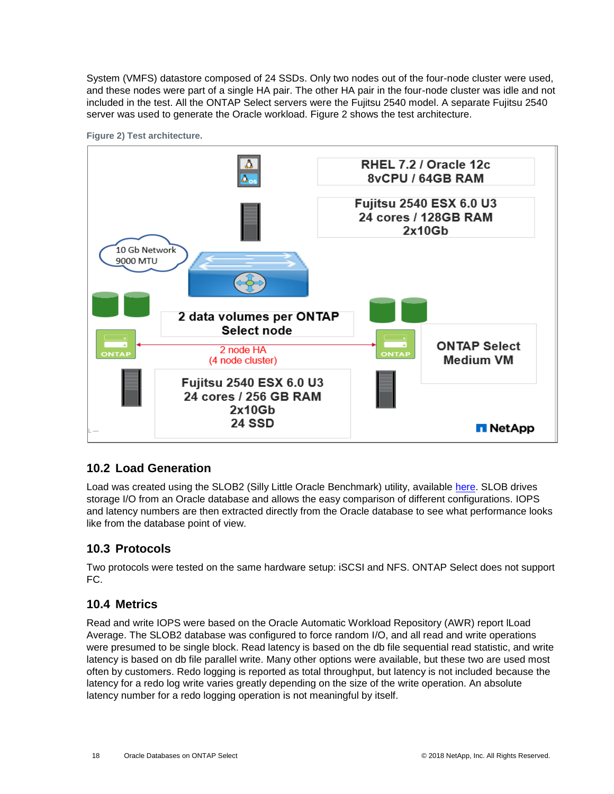System (VMFS) datastore composed of 24 SSDs. Only two nodes out of the four-node cluster were used, and these nodes were part of a single HA pair. The other HA pair in the four-node cluster was idle and not included in the test. All the ONTAP Select servers were the Fujitsu 2540 model. A separate Fujitsu 2540 server was used to generate the Oracle workload. Figure 2 shows the test architecture.



**Figure 2) Test architecture.**

### <span id="page-17-0"></span>**10.2 Load Generation**

Load was created using the SLOB2 (Silly Little Oracle Benchmark) utility, available [here.](https://kevinclosson.net/slob/) SLOB drives storage I/O from an Oracle database and allows the easy comparison of different configurations. IOPS and latency numbers are then extracted directly from the Oracle database to see what performance looks like from the database point of view.

### <span id="page-17-1"></span>**10.3 Protocols**

Two protocols were tested on the same hardware setup: iSCSI and NFS. ONTAP Select does not support FC.

### <span id="page-17-2"></span>**10.4 Metrics**

Read and write IOPS were based on the Oracle Automatic Workload Repository (AWR) report lLoad Average. The SLOB2 database was configured to force random I/O, and all read and write operations were presumed to be single block. Read latency is based on the db file sequential read statistic, and write latency is based on db file parallel write. Many other options were available, but these two are used most often by customers. Redo logging is reported as total throughput, but latency is not included because the latency for a redo log write varies greatly depending on the size of the write operation. An absolute latency number for a redo logging operation is not meaningful by itself.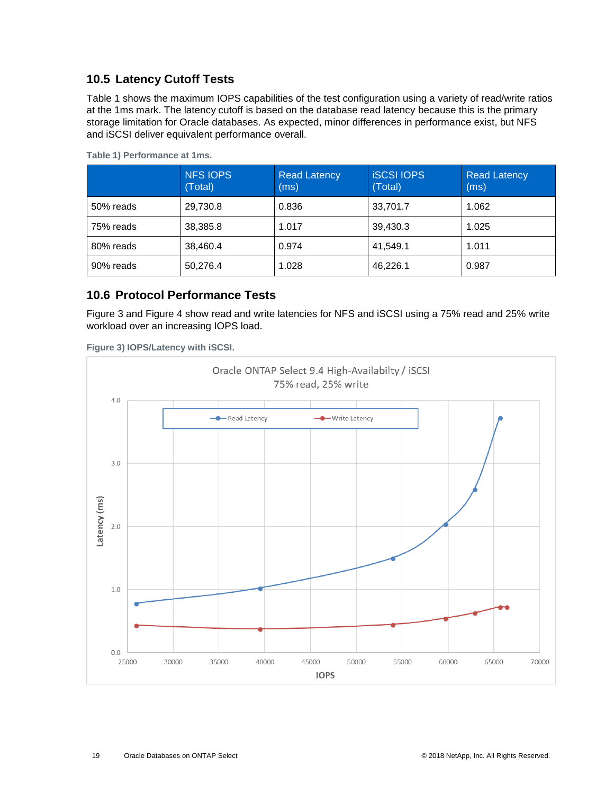### <span id="page-18-0"></span>**10.5 Latency Cutoff Tests**

[Table 1](#page-18-2) shows the maximum IOPS capabilities of the test configuration using a variety of read/write ratios at the 1ms mark. The latency cutoff is based on the database read latency because this is the primary storage limitation for Oracle databases. As expected, minor differences in performance exist, but NFS and iSCSI deliver equivalent performance overall.

|           | <b>NFS IOPS</b><br>(Total) | <b>Read Latency</b><br>(ms) | <b>ISCSI IOPS</b><br>(Total) | <b>Read Latency</b><br>(ms) |
|-----------|----------------------------|-----------------------------|------------------------------|-----------------------------|
| 50% reads | 29,730.8                   | 0.836                       | 33,701.7                     | 1.062                       |
| 75% reads | 38,385.8                   | 1.017                       | 39,430.3                     | 1.025                       |
| 80% reads | 38,460.4                   | 0.974                       | 41,549.1                     | 1.011                       |
| 90% reads | 50,276.4                   | 1.028                       | 46,226.1                     | 0.987                       |

<span id="page-18-2"></span>**Table 1) Performance at 1ms.**

### <span id="page-18-1"></span>**10.6 Protocol Performance Tests**

[Figure 3](#page-18-3) and [Figure 4](#page-19-1) show read and write latencies for NFS and iSCSI using a 75% read and 25% write workload over an increasing IOPS load.

<span id="page-18-3"></span>**Figure 3) IOPS/Latency with iSCSI.**

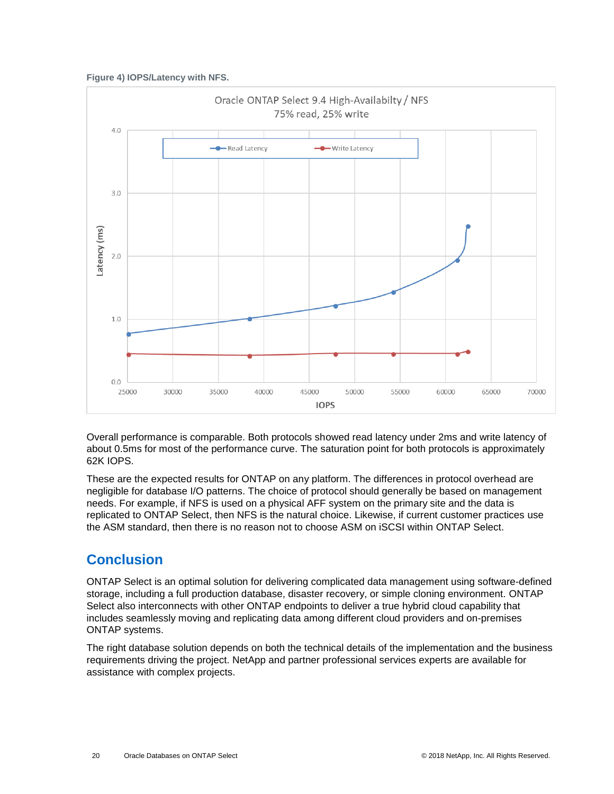<span id="page-19-1"></span>**Figure 4) IOPS/Latency with NFS.**



Overall performance is comparable. Both protocols showed read latency under 2ms and write latency of about 0.5ms for most of the performance curve. The saturation point for both protocols is approximately 62K IOPS.

These are the expected results for ONTAP on any platform. The differences in protocol overhead are negligible for database I/O patterns. The choice of protocol should generally be based on management needs. For example, if NFS is used on a physical AFF system on the primary site and the data is replicated to ONTAP Select, then NFS is the natural choice. Likewise, if current customer practices use the ASM standard, then there is no reason not to choose ASM on iSCSI within ONTAP Select.

# <span id="page-19-0"></span>**Conclusion**

ONTAP Select is an optimal solution for delivering complicated data management using software-defined storage, including a full production database, disaster recovery, or simple cloning environment. ONTAP Select also interconnects with other ONTAP endpoints to deliver a true hybrid cloud capability that includes seamlessly moving and replicating data among different cloud providers and on-premises ONTAP systems.

The right database solution depends on both the technical details of the implementation and the business requirements driving the project. NetApp and partner professional services experts are available for assistance with complex projects.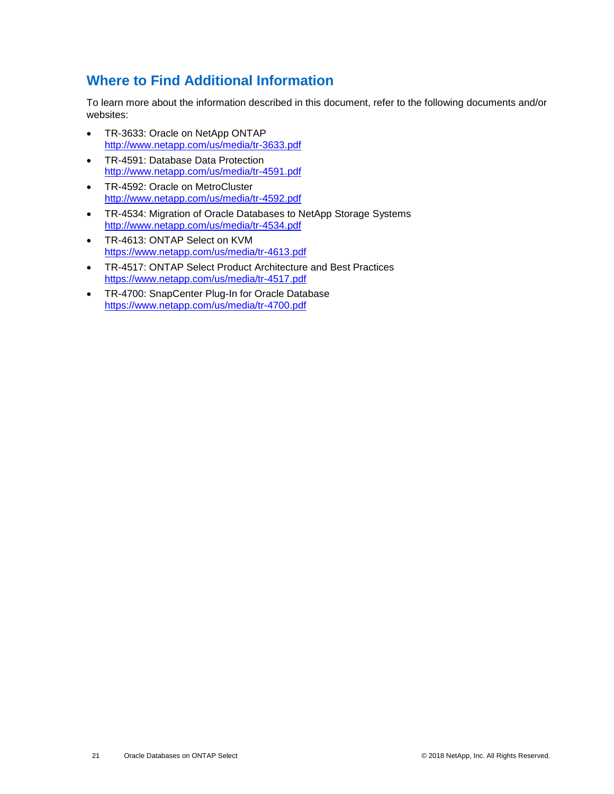# <span id="page-20-0"></span>**Where to Find Additional Information**

To learn more about the information described in this document, refer to the following documents and/or websites:

- TR-3633: Oracle on NetApp ONTAP <http://www.netapp.com/us/media/tr-3633.pdf>
- TR-4591: Database Data Protection <http://www.netapp.com/us/media/tr-4591.pdf>
- TR-4592: Oracle on MetroCluster <http://www.netapp.com/us/media/tr-4592.pdf>
- TR-4534: Migration of Oracle Databases to NetApp Storage Systems <http://www.netapp.com/us/media/tr-4534.pdf>
- TR-4613: ONTAP Select on KVM <https://www.netapp.com/us/media/tr-4613.pdf>
- TR-4517: ONTAP Select Product Architecture and Best Practices <https://www.netapp.com/us/media/tr-4517.pdf>
- TR-4700: SnapCenter Plug-In for Oracle Database <https://www.netapp.com/us/media/tr-4700.pdf>